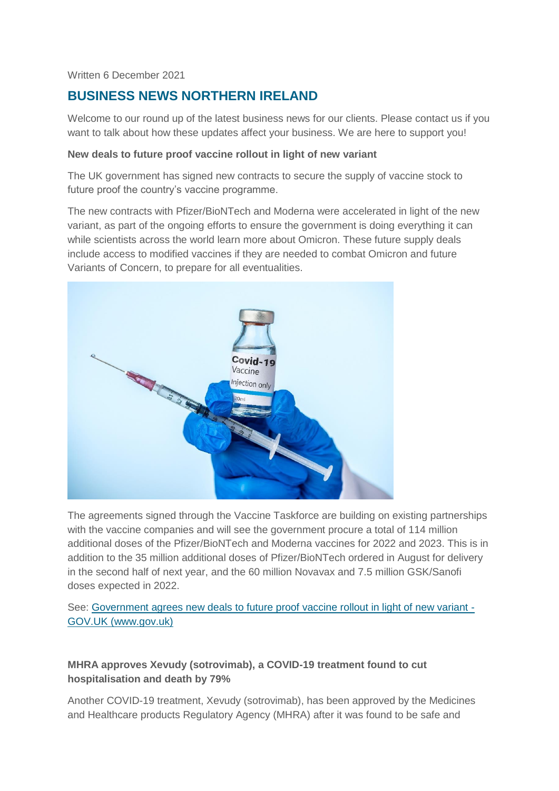Written 6 December 2021

# **BUSINESS NEWS NORTHERN IRELAND**

Welcome to our round up of the latest business news for our clients. Please contact us if you want to talk about how these updates affect your business. We are here to support you!

#### **New deals to future proof vaccine rollout in light of new variant**

The UK government has signed new contracts to secure the supply of vaccine stock to future proof the country's vaccine programme.

The new contracts with Pfizer/BioNTech and Moderna were accelerated in light of the new variant, as part of the ongoing efforts to ensure the government is doing everything it can while scientists across the world learn more about Omicron. These future supply deals include access to modified vaccines if they are needed to combat Omicron and future Variants of Concern, to prepare for all eventualities.



The agreements signed through the Vaccine Taskforce are building on existing partnerships with the vaccine companies and will see the government procure a total of 114 million additional doses of the Pfizer/BioNTech and Moderna vaccines for 2022 and 2023. This is in addition to the 35 million additional doses of Pfizer/BioNTech ordered in August for delivery in the second half of next year, and the 60 million Novavax and 7.5 million GSK/Sanofi doses expected in 2022.

See: [Government agrees new deals to future proof vaccine rollout in light of new variant -](https://www.gov.uk/government/news/government-agrees-new-deals-to-future-proof-vaccine-rollout-in-light-of-new-variant) [GOV.UK \(www.gov.uk\)](https://www.gov.uk/government/news/government-agrees-new-deals-to-future-proof-vaccine-rollout-in-light-of-new-variant)

# **MHRA approves Xevudy (sotrovimab), a COVID-19 treatment found to cut hospitalisation and death by 79%**

Another COVID-19 treatment, Xevudy (sotrovimab), has been approved by the Medicines and Healthcare products Regulatory Agency (MHRA) after it was found to be safe and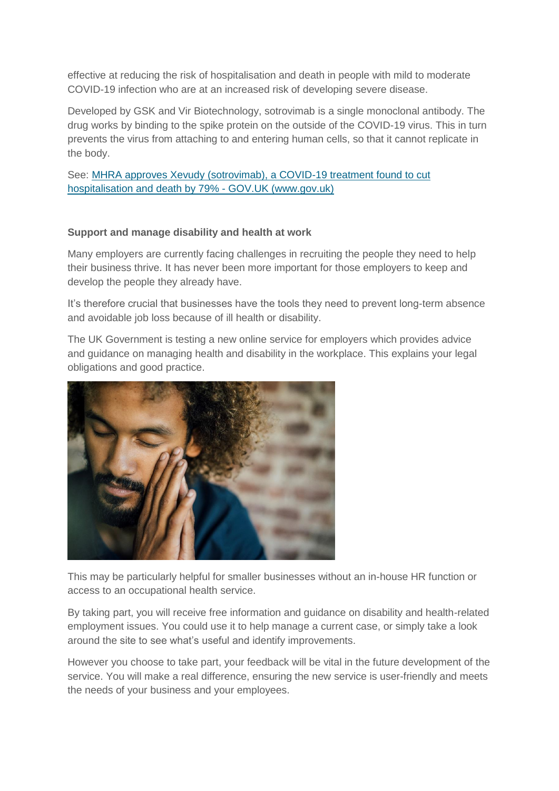effective at reducing the risk of hospitalisation and death in people with mild to moderate COVID-19 infection who are at an increased risk of developing severe disease.

Developed by GSK and Vir Biotechnology, sotrovimab is a single monoclonal antibody. The drug works by binding to the spike protein on the outside of the COVID-19 virus. This in turn prevents the virus from attaching to and entering human cells, so that it cannot replicate in the body.

See: [MHRA approves Xevudy \(sotrovimab\), a COVID-19 treatment found to cut](https://www.gov.uk/government/news/mhra-approves-xevudy-sotrovimab-a-covid-19-treatment-found-to-cut-hospitalisation-and-death-by-79?utm_medium=email&utm_campaign=govuk-notifications&utm_source=2277b18c-eeb3-48fc-866d-748379fa0894&utm_content=daily)  [hospitalisation and death by 79% -](https://www.gov.uk/government/news/mhra-approves-xevudy-sotrovimab-a-covid-19-treatment-found-to-cut-hospitalisation-and-death-by-79?utm_medium=email&utm_campaign=govuk-notifications&utm_source=2277b18c-eeb3-48fc-866d-748379fa0894&utm_content=daily) GOV.UK (www.gov.uk)

#### **Support and manage disability and health at work**

Many employers are currently facing challenges in recruiting the people they need to help their business thrive. It has never been more important for those employers to keep and develop the people they already have.

It's therefore crucial that businesses have the tools they need to prevent long-term absence and avoidable job loss because of ill health or disability.

The UK Government is testing a new online service for employers which provides advice and guidance on managing health and disability in the workplace. This explains your legal obligations and good practice.



This may be particularly helpful for smaller businesses without an in-house HR function or access to an occupational health service.

By taking part, you will receive free information and guidance on disability and health-related employment issues. You could use it to help manage a current case, or simply take a look around the site to see what's useful and identify improvements.

However you choose to take part, your feedback will be vital in the future development of the service. You will make a real difference, ensuring the new service is user-friendly and meets the needs of your business and your employees.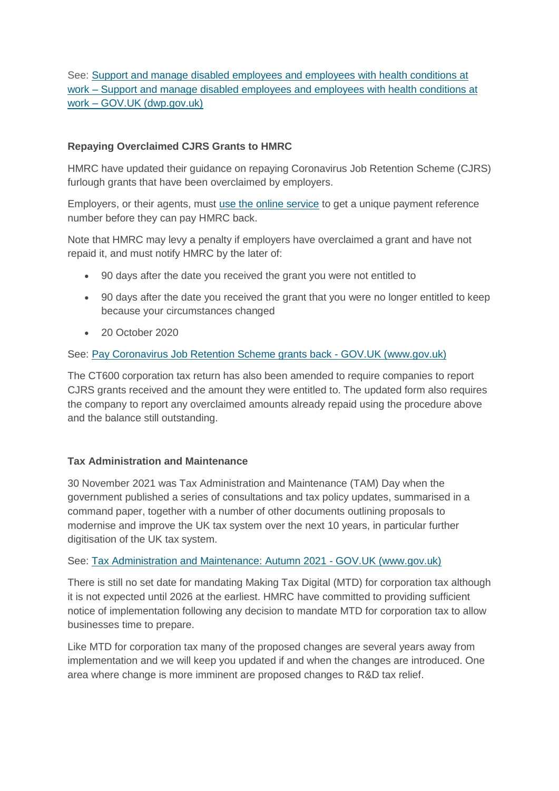See: [Support and manage disabled employees and employees with health conditions at](https://www.support-disability-healthconditions-atwork.dwp.gov.uk/support-and-manage-disabled-employees-and-employees-with-health-conditions-at-work?utm_source=govdelivery&utm_medium=email&utm_campaign=guidance-push-hse&utm_term=service&utm_content=sme-19-nov-21)  work – [Support and manage disabled employees and employees with health conditions at](https://www.support-disability-healthconditions-atwork.dwp.gov.uk/support-and-manage-disabled-employees-and-employees-with-health-conditions-at-work?utm_source=govdelivery&utm_medium=email&utm_campaign=guidance-push-hse&utm_term=service&utm_content=sme-19-nov-21)  work – [GOV.UK \(dwp.gov.uk\)](https://www.support-disability-healthconditions-atwork.dwp.gov.uk/support-and-manage-disabled-employees-and-employees-with-health-conditions-at-work?utm_source=govdelivery&utm_medium=email&utm_campaign=guidance-push-hse&utm_term=service&utm_content=sme-19-nov-21)

# **Repaying Overclaimed CJRS Grants to HMRC**

HMRC have updated their guidance on repaying Coronavirus Job Retention Scheme (CJRS) furlough grants that have been overclaimed by employers.

Employers, or their agents, must [use the online service](https://www.tax.service.gov.uk/coronavirus-job-retention-scheme/tell-us-about-a-repayment/repayment-service) to get a unique payment reference number before they can pay HMRC back.

Note that HMRC may levy a penalty if employers have overclaimed a grant and have not repaid it, and must notify HMRC by the later of:

- 90 days after the date you received the grant you were not entitled to
- 90 days after the date you received the grant that you were no longer entitled to keep because your circumstances changed
- 20 October 2020

# See: [Pay Coronavirus Job Retention Scheme grants back -](https://www.gov.uk/guidance/pay-coronavirus-job-retention-scheme-grants-back) GOV.UK (www.gov.uk)

The CT600 corporation tax return has also been amended to require companies to report CJRS grants received and the amount they were entitled to. The updated form also requires the company to report any overclaimed amounts already repaid using the procedure above and the balance still outstanding.

# **Tax Administration and Maintenance**

30 November 2021 was Tax Administration and Maintenance (TAM) Day when the government published a series of consultations and tax policy updates, summarised in a command paper, together with a number of other documents outlining proposals to modernise and improve the UK tax system over the next 10 years, in particular further digitisation of the UK tax system.

#### See: [Tax Administration and Maintenance: Autumn 2021 -](https://www.gov.uk/government/publications/tax-administration-and-maintenance-autumn-2021) GOV.UK (www.gov.uk)

There is still no set date for mandating Making Tax Digital (MTD) for corporation tax although it is not expected until 2026 at the earliest. HMRC have committed to providing sufficient notice of implementation following any decision to mandate MTD for corporation tax to allow businesses time to prepare.

Like MTD for corporation tax many of the proposed changes are several years away from implementation and we will keep you updated if and when the changes are introduced. One area where change is more imminent are proposed changes to R&D tax relief.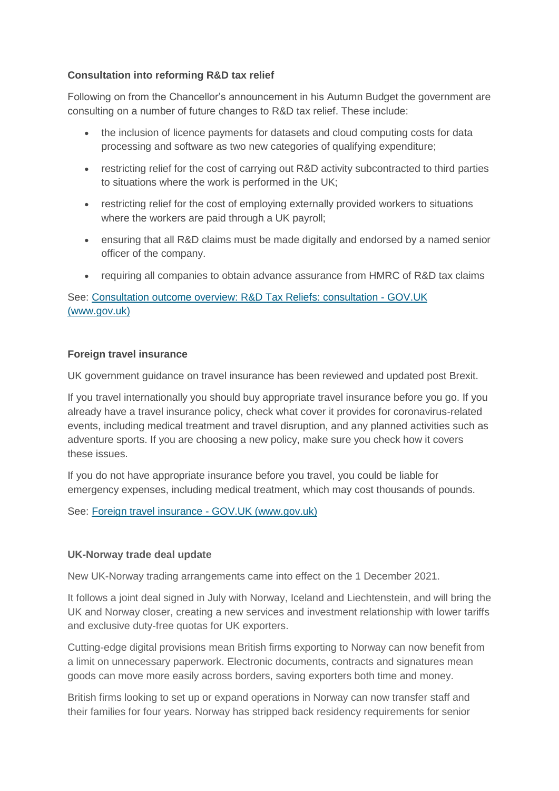## **Consultation into reforming R&D tax relief**

Following on from the Chancellor's announcement in his Autumn Budget the government are consulting on a number of future changes to R&D tax relief. These include:

- the inclusion of licence payments for datasets and cloud computing costs for data processing and software as two new categories of qualifying expenditure;
- restricting relief for the cost of carrying out R&D activity subcontracted to third parties to situations where the work is performed in the UK;
- restricting relief for the cost of employing externally provided workers to situations where the workers are paid through a UK payroll;
- ensuring that all R&D claims must be made digitally and endorsed by a named senior officer of the company.
- requiring all companies to obtain advance assurance from HMRC of R&D tax claims

See: [Consultation outcome overview: R&D Tax Reliefs: consultation -](https://www.gov.uk/government/consultations/rd-tax-reliefs-consultation) GOV.UK [\(www.gov.uk\)](https://www.gov.uk/government/consultations/rd-tax-reliefs-consultation)

#### **Foreign travel insurance**

UK government guidance on travel insurance has been reviewed and updated post Brexit.

If you travel internationally you should buy appropriate travel insurance before you go. If you already have a travel insurance policy, check what cover it provides for coronavirus-related events, including medical treatment and travel disruption, and any planned activities such as adventure sports. If you are choosing a new policy, make sure you check how it covers these issues.

If you do not have appropriate insurance before you travel, you could be liable for emergency expenses, including medical treatment, which may cost thousands of pounds.

See: [Foreign travel insurance -](https://www.gov.uk/guidance/foreign-travel-insurance?utm_medium=email&utm_campaign=govuk-notifications&utm_source=4b2eca35-02ee-4307-86f1-eea7f579622d&utm_content=daily) GOV.UK (www.gov.uk)

#### **UK-Norway trade deal update**

New UK-Norway trading arrangements came into effect on the 1 December 2021.

It follows a joint deal signed in July with Norway, Iceland and Liechtenstein, and will bring the UK and Norway closer, creating a new services and investment relationship with lower tariffs and exclusive duty-free quotas for UK exporters.

Cutting-edge digital provisions mean British firms exporting to Norway can now benefit from a limit on unnecessary paperwork. Electronic documents, contracts and signatures mean goods can move more easily across borders, saving exporters both time and money.

British firms looking to set up or expand operations in Norway can now transfer staff and their families for four years. Norway has stripped back residency requirements for senior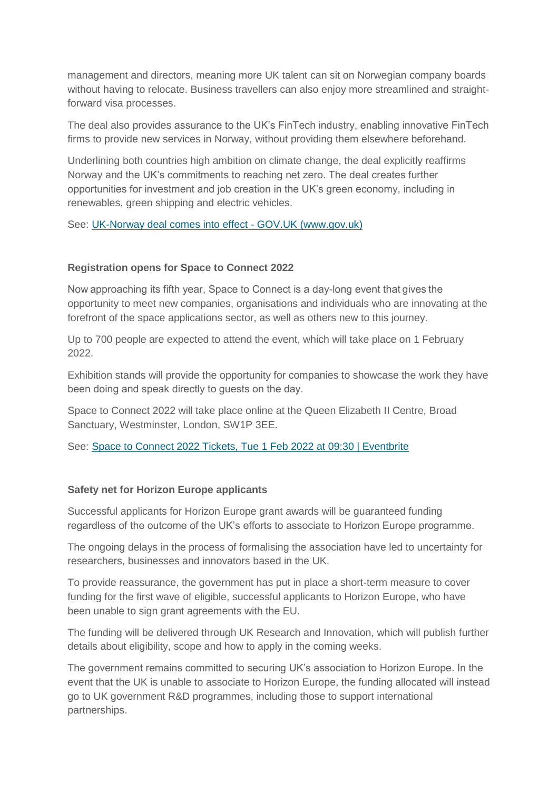management and directors, meaning more UK talent can sit on Norwegian company boards without having to relocate. Business travellers can also enjoy more streamlined and straightforward visa processes.

The deal also provides assurance to the UK's FinTech industry, enabling innovative FinTech firms to provide new services in Norway, without providing them elsewhere beforehand.

Underlining both countries high ambition on climate change, the deal explicitly reaffirms Norway and the UK's commitments to reaching net zero. The deal creates further opportunities for investment and job creation in the UK's green economy, including in renewables, green shipping and electric vehicles.

See: [UK-Norway deal comes into effect -](https://www.gov.uk/government/news/uk-norway-deal-comes-into-effect) GOV.UK (www.gov.uk)

#### **Registration opens for Space to Connect 2022**

Now approaching its fifth year, Space to Connect is a day-long event that gives the opportunity to meet new companies, organisations and individuals who are innovating at the forefront of the space applications sector, as well as others new to this journey.

Up to 700 people are expected to attend the event, which will take place on 1 February 2022.

Exhibition stands will provide the opportunity for companies to showcase the work they have been doing and speak directly to guests on the day. 

Space to Connect 2022 will take place online at the Queen Elizabeth II Centre, Broad Sanctuary, Westminster, London, SW1P 3EE.

See: [Space to Connect 2022 Tickets, Tue 1 Feb 2022 at 09:30 | Eventbrite](https://www.eventbrite.co.uk/e/space-to-connect-2022-tickets-190286631437)

#### **Safety net for Horizon Europe applicants**

Successful applicants for Horizon Europe grant awards will be guaranteed funding regardless of the outcome of the UK's efforts to associate to Horizon Europe programme.

The ongoing delays in the process of formalising the association have led to uncertainty for researchers, businesses and innovators based in the UK.

To provide reassurance, the government has put in place a short-term measure to cover funding for the first wave of eligible, successful applicants to Horizon Europe, who have been unable to sign grant agreements with the EU.

The funding will be delivered through UK Research and Innovation, which will publish further details about eligibility, scope and how to apply in the coming weeks.

The government remains committed to securing UK's association to Horizon Europe. In the event that the UK is unable to associate to Horizon Europe, the funding allocated will instead go to UK government R&D programmes, including those to support international partnerships.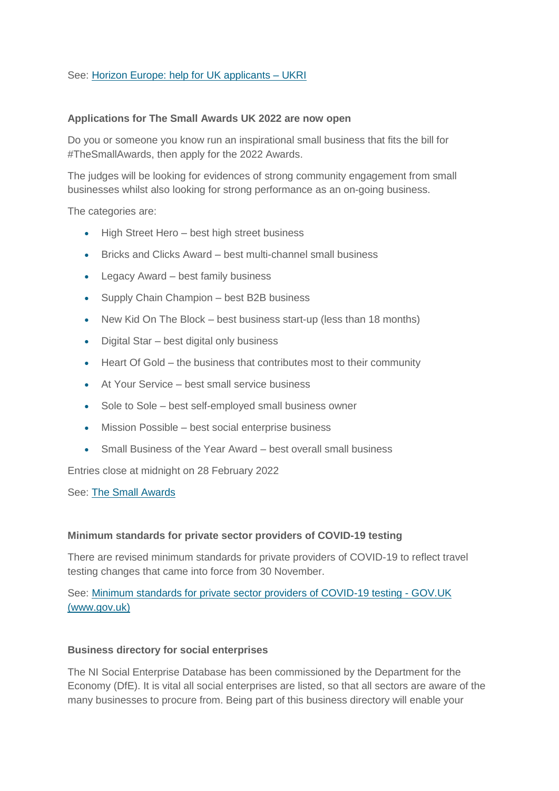## See: [Horizon Europe: help for](https://www.ukri.org/apply-for-funding/horizon-europe/) UK applicants – UKRI

#### **Applications for The Small Awards UK 2022 are now open**

Do you or someone you know run an inspirational small business that fits the bill for #TheSmallAwards, then apply for the 2022 Awards.

The judges will be looking for evidences of strong community engagement from small businesses whilst also looking for strong performance as an on-going business.

The categories are:

- High Street Hero best high street business
- Bricks and Clicks Award best multi-channel small business
- Legacy Award best family business
- Supply Chain Champion best B2B business
- New Kid On The Block best business start-up (less than 18 months)
- Digital Star best digital only business
- Heart Of Gold the business that contributes most to their community
- At Your Service best small service business
- Sole to Sole best self-employed small business owner
- Mission Possible best social enterprise business
- Small Business of the Year Award best overall small business

Entries close at midnight on 28 February 2022

See: [The Small Awards](https://thesmallawards.uk/)

#### **Minimum standards for private sector providers of COVID-19 testing**

There are revised minimum standards for private providers of COVID-19 to reflect travel testing changes that came into force from 30 November.

See: [Minimum standards for private sector providers of COVID-19 testing -](https://www.gov.uk/government/publications/minimum-standards-for-private-sector-providers-of-covid-19-testing?utm_medium=email&utm_campaign=govuk-notifications&utm_source=08ce1e50-fd62-4908-b768-2883b6dd1606&utm_content=daily) GOV.UK [\(www.gov.uk\)](https://www.gov.uk/government/publications/minimum-standards-for-private-sector-providers-of-covid-19-testing?utm_medium=email&utm_campaign=govuk-notifications&utm_source=08ce1e50-fd62-4908-b768-2883b6dd1606&utm_content=daily)

#### **Business directory for social enterprises**

The NI Social Enterprise Database has been commissioned by the Department for the Economy (DfE). It is vital all social enterprises are listed, so that all sectors are aware of the many businesses to procure from. Being part of this business directory will enable your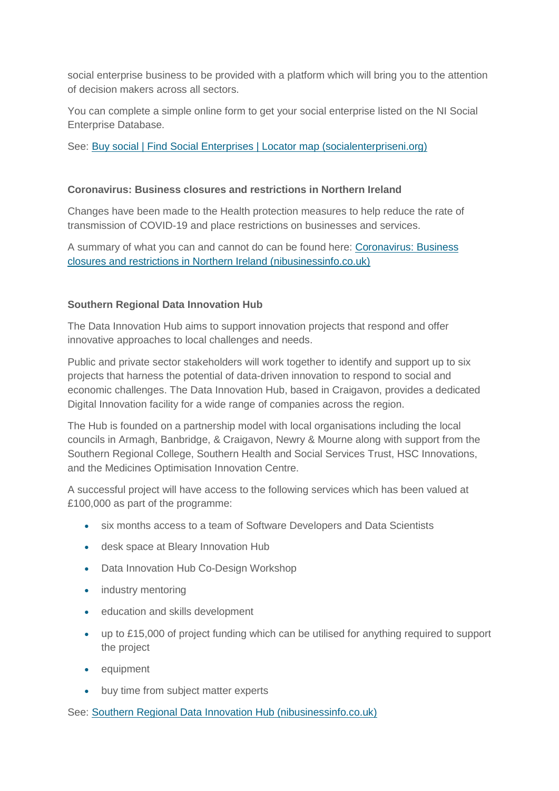social enterprise business to be provided with a platform which will bring you to the attention of decision makers across all sectors.

You can complete a simple online form to get your social enterprise listed on the NI Social Enterprise Database.

See: [Buy social | Find Social Enterprises | Locator map \(socialenterpriseni.org\)](https://www.socialenterpriseni.org/buy-social)

#### **Coronavirus: Business closures and restrictions in Northern Ireland**

Changes have been made to the Health protection measures to help reduce the rate of transmission of COVID-19 and place restrictions on businesses and services.

A summary of what you can and cannot do can be found here: [Coronavirus: Business](https://www.nibusinessinfo.co.uk/content/coronavirus-business-closures-and-restrictions-northern-ireland)  [closures and restrictions in Northern Ireland \(nibusinessinfo.co.uk\)](https://www.nibusinessinfo.co.uk/content/coronavirus-business-closures-and-restrictions-northern-ireland)

# **Southern Regional Data Innovation Hub**

The Data Innovation Hub aims to support innovation projects that respond and offer innovative approaches to local challenges and needs.

Public and private sector stakeholders will work together to identify and support up to six projects that harness the potential of data-driven innovation to respond to social and economic challenges. The Data Innovation Hub, based in Craigavon, provides a dedicated Digital Innovation facility for a wide range of companies across the region.

The Hub is founded on a partnership model with local organisations including the local councils in Armagh, Banbridge, & Craigavon, Newry & Mourne along with support from the Southern Regional College, Southern Health and Social Services Trust, HSC Innovations, and the Medicines Optimisation Innovation Centre.

A successful project will have access to the following services which has been valued at £100,000 as part of the programme:

- six months access to a team of Software Developers and Data Scientists
- desk space at Bleary Innovation Hub
- Data Innovation Hub Co-Design Workshop
- industry mentoring
- **•** education and skills development
- up to £15,000 of project funding which can be utilised for anything required to support the project
- equipment
- buy time from subject matter experts

See: [Southern Regional Data Innovation Hub \(nibusinessinfo.co.uk\)](https://www.nibusinessinfo.co.uk/content/southern-regional-data-innovation-hub)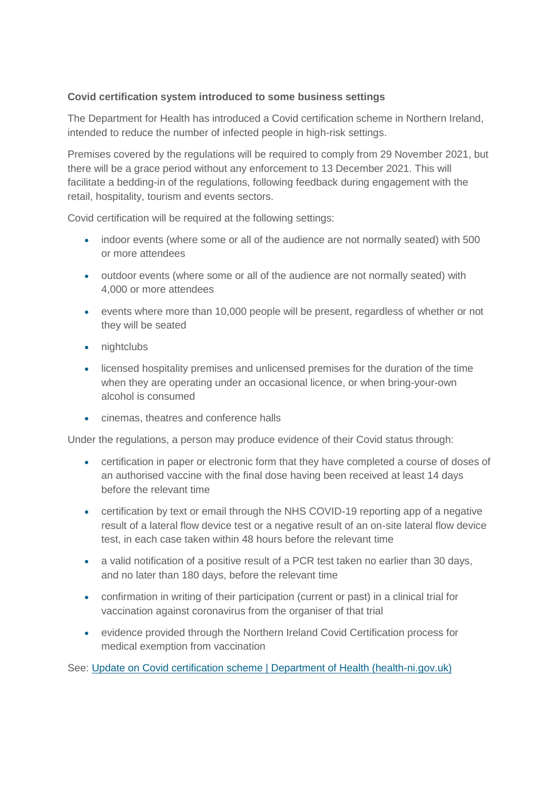# **Covid certification system introduced to some business settings**

The Department for Health has introduced a Covid certification scheme in Northern Ireland, intended to reduce the number of infected people in high-risk settings.

Premises covered by the regulations will be required to comply from 29 November 2021, but there will be a grace period without any enforcement to 13 December 2021. This will facilitate a bedding-in of the regulations, following feedback during engagement with the retail, hospitality, tourism and events sectors.

Covid certification will be required at the following settings:

- indoor events (where some or all of the audience are not normally seated) with 500 or more attendees
- outdoor events (where some or all of the audience are not normally seated) with 4,000 or more attendees
- events where more than 10,000 people will be present, regardless of whether or not they will be seated
- nightclubs
- licensed hospitality premises and unlicensed premises for the duration of the time when they are operating under an occasional licence, or when bring-your-own alcohol is consumed
- cinemas, theatres and conference halls

Under the regulations, a person may produce evidence of their Covid status through:

- certification in paper or electronic form that they have completed a course of doses of an authorised vaccine with the final dose having been received at least 14 days before the relevant time
- certification by text or email through the NHS COVID-19 reporting app of a negative result of a lateral flow device test or a negative result of an on-site lateral flow device test, in each case taken within 48 hours before the relevant time
- a valid notification of a positive result of a PCR test taken no earlier than 30 days, and no later than 180 days, before the relevant time
- confirmation in writing of their participation (current or past) in a clinical trial for vaccination against coronavirus from the organiser of that trial
- evidence provided through the Northern Ireland Covid Certification process for medical exemption from vaccination

See: [Update on Covid certification scheme | Department of Health \(health-ni.gov.uk\)](http://www.health-ni.gov.uk/news/update-covid-certification-scheme)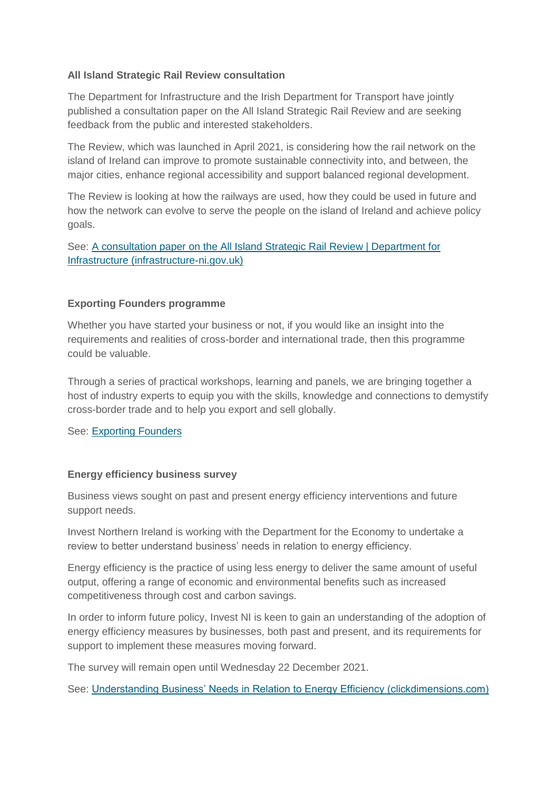## **All Island Strategic Rail Review consultation**

The Department for Infrastructure and the Irish Department for Transport have jointly published a consultation paper on the All Island Strategic Rail Review and are seeking feedback from the public and interested stakeholders.

The Review, which was launched in April 2021, is considering how the rail network on the island of Ireland can improve to promote sustainable connectivity into, and between, the major cities, enhance regional accessibility and support balanced regional development.

The Review is looking at how the railways are used, how they could be used in future and how the network can evolve to serve the people on the island of Ireland and achieve policy goals.

See: [A consultation paper on the All Island Strategic Rail Review | Department for](https://www.infrastructure-ni.gov.uk/consultations/consultation-paper-all-island-strategic-rail-review)  [Infrastructure \(infrastructure-ni.gov.uk\)](https://www.infrastructure-ni.gov.uk/consultations/consultation-paper-all-island-strategic-rail-review)

#### **Exporting Founders programme**

Whether you have started your business or not, if you would like an insight into the requirements and realities of cross-border and international trade, then this programme could be valuable.

Through a series of practical workshops, learning and panels, we are bringing together a host of industry experts to equip you with the skills, knowledge and connections to demystify cross-border trade and to help you export and sell globally.

See: [Exporting Founders](https://www.exportingfounders.com/2022)

#### **Energy efficiency business survey**

Business views sought on past and present energy efficiency interventions and future support needs.

Invest Northern Ireland is working with the Department for the Economy to undertake a review to better understand business' needs in relation to energy efficiency.

Energy efficiency is the practice of using less energy to deliver the same amount of useful output, offering a range of economic and environmental benefits such as increased competitiveness through cost and carbon savings.

In order to inform future policy, Invest NI is keen to gain an understanding of the adoption of energy efficiency measures by businesses, both past and present, and its requirements for support to implement these measures moving forward.

The survey will remain open until Wednesday 22 December 2021.

See: [Understanding Business' Needs in Relation to Energy Efficiency \(clickdimensions.com\)](https://analytics-eu.clickdimensions.com/cn/ailzg/eeg)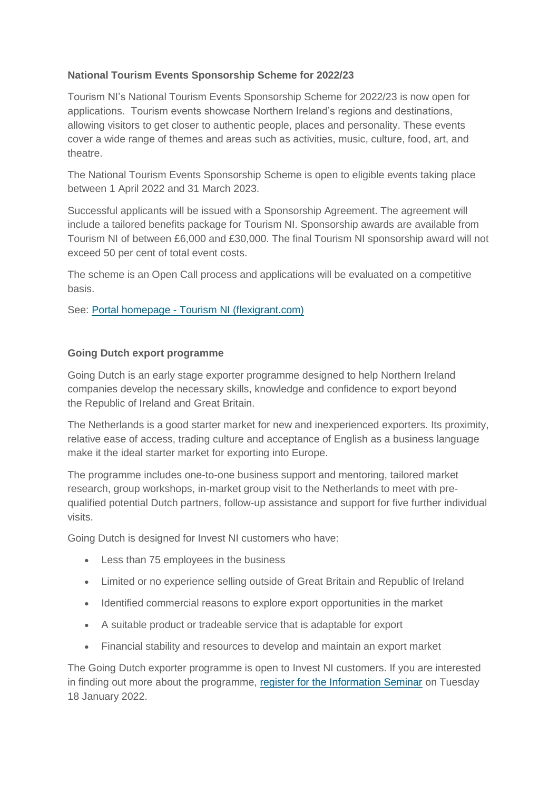# **National Tourism Events Sponsorship Scheme for 2022/23**

Tourism NI's National Tourism Events Sponsorship Scheme for 2022/23 is now open for applications. Tourism events showcase Northern Ireland's regions and destinations, allowing visitors to get closer to authentic people, places and personality. These events cover a wide range of themes and areas such as activities, music, culture, food, art, and theatre.

The National Tourism Events Sponsorship Scheme is open to eligible events taking place between 1 April 2022 and 31 March 2023.

Successful applicants will be issued with a Sponsorship Agreement. The agreement will include a tailored benefits package for Tourism NI. Sponsorship awards are available from Tourism NI of between £6,000 and £30,000. The final Tourism NI sponsorship award will not exceed 50 per cent of total event costs.

The scheme is an Open Call process and applications will be evaluated on a competitive basis.

See: Portal homepage - [Tourism NI \(flexigrant.com\)](https://tni.flexigrant.com/)

# **Going Dutch export programme**

Going Dutch is an early stage exporter programme designed to help Northern Ireland companies develop the necessary skills, knowledge and confidence to export beyond the Republic of Ireland and Great Britain.

The Netherlands is a good starter market for new and inexperienced exporters. Its proximity, relative ease of access, trading culture and acceptance of English as a business language make it the ideal starter market for exporting into Europe.

The programme includes one-to-one business support and mentoring, tailored market research, group workshops, in-market group visit to the Netherlands to meet with prequalified potential Dutch partners, follow-up assistance and support for five further individual visits.

Going Dutch is designed for Invest NI customers who have:

- Less than 75 employees in the business
- Limited or no experience selling outside of Great Britain and Republic of Ireland
- Identified commercial reasons to explore export opportunities in the market
- A suitable product or tradeable service that is adaptable for export
- Financial stability and resources to develop and maintain an export market

The Going Dutch exporter programme is open to Invest NI customers. If you are interested in finding out more about the programme, [register for the Information Seminar](https://eventfulbelfast.eventsair.com/goingdutch2022/registration/Site/Register) on Tuesday 18 January 2022.